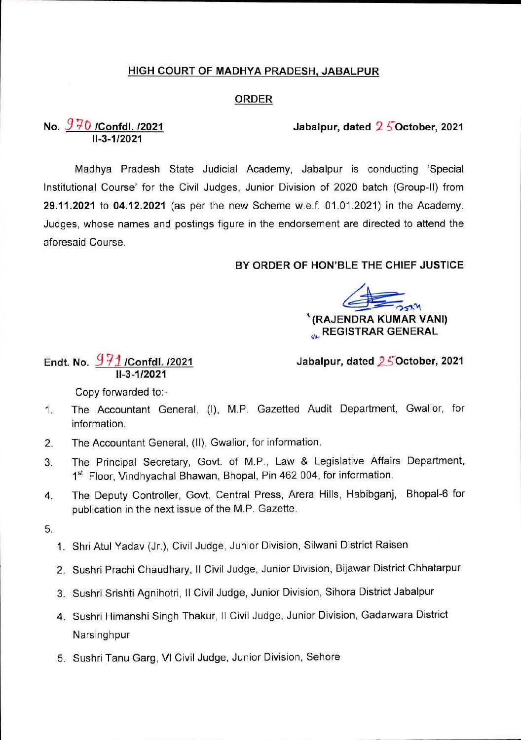### HIGH COURT OF MADHYA PRADESH, JABALPUR

### ORDER

Jabalpur, dated 2 5 October, 2021

# No.  $\frac{970}{11-3.1/2021}$

Madhya Pradesh State Judicial Academy, Jabalpur is conducting 'Special Institutional Course' for the Civil Judges, Junior Division of 2020 batch (Group-ll) from 29.11.2021 to 04.12.2021 (as per the new Scheme w.e.f. 01.01.2021) in the Academy. Judges, whose names and postings figure in the endorsement are directed to attend the aforesaid Course.

### BY ORDER OF HON'BLE THE CHIEF JUSTICE

'(RAJENDRA KUMAR VANI) **REGISTRAR GENERAL** 

## Endt. No. *931* /Confdl./2021 11-3-1/2021

Jabalpur, dated 25 October, 2021

Copy forwarded to:-

- The Accountant General, (I), M.P. Gazetted Audit Department, Gwalior, for information. 1.
- The Accountant General, (II), Gwalior, for information. 2.
- The Principal Secretary, Govt, of M.P., Law & Legislative Affairs Department, 1<sup>st</sup> Floor, Vindhyachal Bhawan, Bhopal, Pin 462 004, for information. 3.
- The Deputy Controller, Govt. Central Press, Arera Hills, Habibganj, Bhopal-6 for publication in the next issue of the M.P. Gazette. 4.
- 5.
- 1. Shri Atul Yadav (Jr.), Civil Judge, Junior Division, Silwani District Raisen
- 2. Sushri Prachi Chaudhary, II Civil Judge, Junior Division, Bijawar District Chhatarpur
- 3. Sushri Srishti Agnihotri, II Civil Judge, Junior Division, Sihora District Jabalpur
- 4. Sushri Himanshi Singh Thakur, II Civil Judge, Junior Division, Gadarwara District Narsinghpur
- 5. Sushri Tanu Garg, VI Civil Judge, Junior Division, Sehore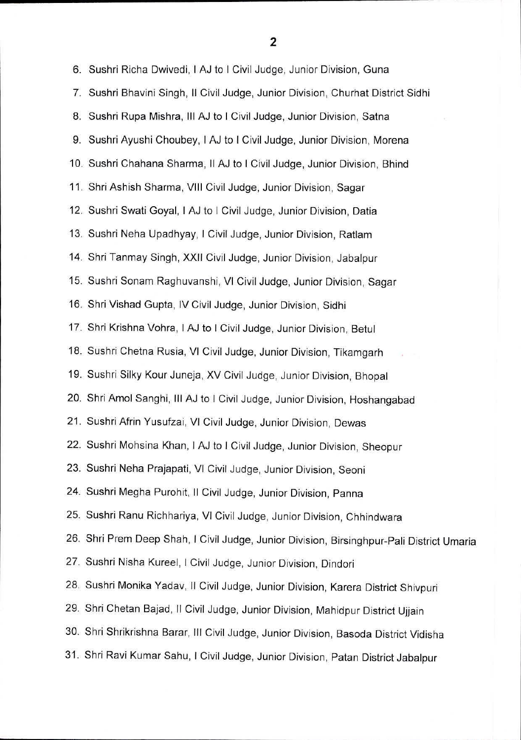6. Sushri Richa Dwivedi, <sup>I</sup> AJ to <sup>I</sup> Civil Judge, Junior Division, Guna 7. Sushri Bhavini Singh, II Civil Judge, Junior Division, Churhat District Sidhi 8. Sushri Rupa Mishra, III AJ to <sup>I</sup> Civil Judge, Junior Division, Satna 9. Sushri Ayushi Choubey, <sup>I</sup> AJ to <sup>I</sup> Civil Judge, Junior Division, Morena 10. Sushri Chahana Sharma, II AJ to <sup>I</sup> Civil Judge, Junior Division, Bhind 11. Shri Ashish Sharma, VIII Civil Judge, Junior Division, Sagar 12. Sushri Swati Goyal, <sup>I</sup> AJ to <sup>I</sup> Civil Judge, Junior Division, Datia 13. Sushri Neha Upadhyay, <sup>I</sup> Civil Judge, Junior Division, Ratlam 14. Shri Tanmay Singh, XXII Civil Judge, Junior Division, Jabalpur 15. Sushri Sonam Raghuvanshi, VI Civil Judge, Junior Division, Sagar 16. Shri Vishad Gupta, IV Civil Judge, Junior Division, Sidhi 17. Shri Krishna Vohra, <sup>I</sup> AJ to <sup>I</sup> Civil Judge, Junior Division, Betul 18. Sushri Chetna Rusia, VI Civil Judge, Junior Division, Tikamgarh 19. Sushri Silky Kour Juneja, XV Civil Judge, Junior Division, Bhopal 20. Shri Amol Sanghi, III AJ to <sup>I</sup> Civil Judge, Junior Division, Hoshangabad 21. Sushri Afrin Yusufzai, VI Civil Judge, Junior Division, Dewas 22. Sushri Mohsina Khan, <sup>I</sup> AJ to <sup>I</sup> Civil Judge, Junior Division, Sheopur 23. Sushri Neha Prajapati, VI Civil Judge, Junior Division, Seoni 24. Sushri Megha Purohit, II Civil Judge, Junior Division, Panna 25. Sushri Ranu Richhariya, VI Civil Judge, Junior Division, Chhindwara 26. Shri Prem Deep Shah, <sup>I</sup> Civil Judge, Junior Division, Birsinghpur-Pali District Umaria 27. Sushri Nisha Kureel, <sup>I</sup> Civil Judge, Junior Division, Dindori 28. Sushri Monika Yadav, II Civil Judge, Junior Division, Karera District Shivpuri 29. Shri Chetan Bajad, II Civil Judge, Junior Division, Mahidpur District Ujjain 30. Shri Shrikrishna Barar, III Civil Judge, Junior Division, Basoda District Vidisha 31. Shri Ravi Kumar Sahu, <sup>I</sup> Civil Judge, Junior Division, Patan District Jabalpur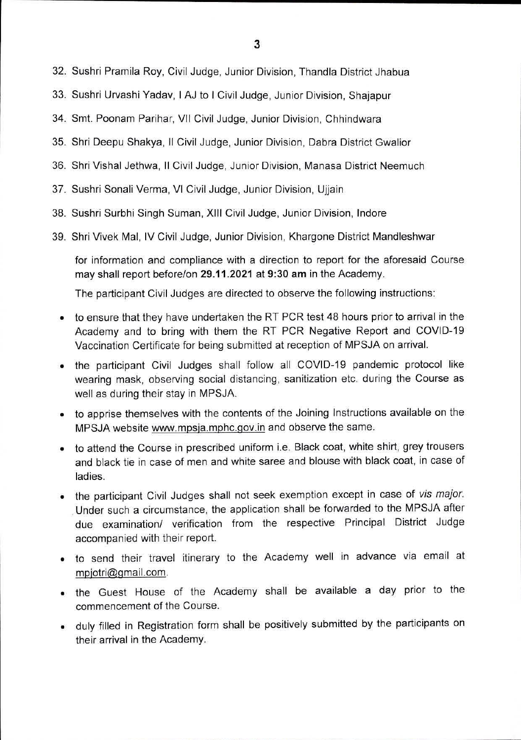- 32. Sushri Pramila Roy, Civil Judge, Junior Division, Thandla District Jhabua
- 33. Sushri Urvashi Yadav, <sup>I</sup> AJ to <sup>I</sup> Civil Judge, Junior Division, Shajapur
- 34. Smt. Poonam Parihar, VII Civil Judge, Junior Division, Chhindwara
- 35. Shri Deepu Shakya, II Civil Judge, Junior Division, Dabra District Gwalior
- 36. Shri Vishal Jethwa, II Civil Judge, Junior Division, Manasa District Neemuch
- 37. Sushri Sonali Verma, VI Civil Judge, Junior Division, Ujjain
- 38. Sushri Surbhi Singh Suman, XIII Civil Judge, Junior Division, Indore
- 39. Shri Vivek Mai, IV Civil Judge, Junior Division, Khargone District Mandleshwar

for information and compliance with a direction to report for the aforesaid Course may shall report before/on 29.11.2021 at 9:30 am in the Academy.

The participant Civil Judges are directed to observe the following instructions:

- to ensure that they have undertaken the RT PCR test 48 hours prior to arrival in the Academy and to bring with them the RT PCR Negative Report and COVID-19 Vaccination Certificate for being submitted at reception of MPSJA on arrival.
- the participant Civil Judges shall follow all COVID-19 pandemic protocol like wearing mask, observing social distancing, sanitization etc. during the Course as well as during their stay in MPSJA.
- to apprise themselves with the contents of the Joining Instructions available on the MPSJA website [www.mpsia.mphc.qov.in](http://www.mpsia.mphc.qov.in) and observe the same.
- to attend the Course in prescribed uniform i.e. Black coat, white shirt, grey trousers and black tie in case of men and white saree and blouse with black coat, in case of ladies.
- the participant Civil Judges shall not seek exemption except in case of *vis major.* Under such a circumstance, the application shall be forwarded to the MPSJA after due examination/ verification from the respective Principal District Judge accompanied with their report.
- to send their travel itinerary to the Academy well in advance via email at [mpiotri@qmail.com.](mailto:mpiotri@qmail.com)
- the Guest House of the Academy shall be available a day prior to the commencement of the Course.
- duly filled in Registration form shall be positively submitted by the participants on their arrival in the Academy.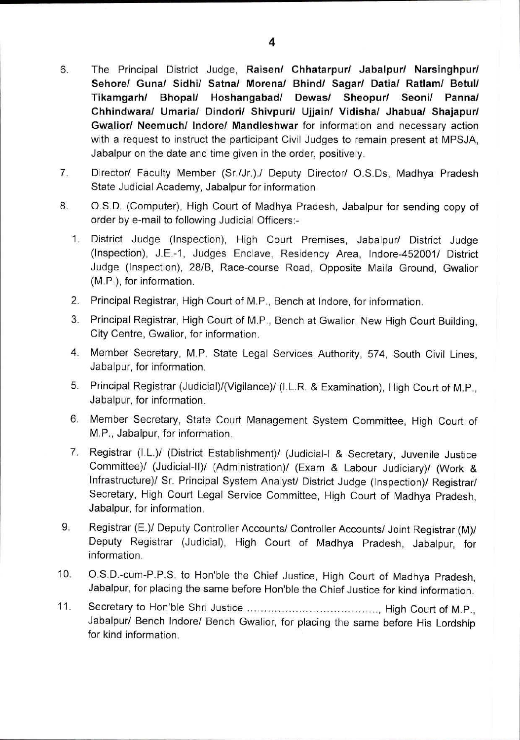- The Principal District Judge, **Raisen/ Chhatarpur/ Jabalpur/ Narsinghpur/ Sehore/ Guna/ Sidhi/ Satna/ Morena/ Bhind/ Sagar/ Datia/ Ratlam/ BetuI/ Tikamgarh/ Bhopal/ Hoshangabad/ Dewas/ Sheopur/ Seoni/ Panna/ Chhindwara/ Umaria/ Dindori/ Shivpuri/ Ujjain/ Vidisha/ Jhabua/ Shajapur/ Gwalior/ Neemuch/ Indore/ Mandleshwar** for information and necessary action with a request to instruct the participant Civil Judges to remain present at MPSJA, Jabalpur on the date and time given in the order, positively. 6.
- Director/ Faculty Member (Sr./Jr.)./ Deputy Director/ O.S.Ds, Madhya Pradesh State Judicial Academy, Jabalpur for information. 7.
- O.S.D. (Computer), High Court of Madhya Pradesh, Jabalpur for sending copy of order by e-mail to following Judicial Officers:- 8.
	- 1. District Judge (Inspection), High Court Premises, Jabalpur/ District Judge (Inspection), J.E.-1, Judges Enclave, Residency Area, Indore-452001/ District Judge (Inspection), 28/B, Race-course Road, Opposite Maila Ground, Gwalior (M.P.), for information.
	- 2. Principal Registrar, High Court of M.P., Bench at Indore, for information.
	- 3. Principal Registrar, High Court of M.P., Bench at Gwalior, New High Court Building, City Centre, Gwalior, for information.
	- 4. Member Secretary, M.P. State Legal Services Authority, 574, South Civil Lines, Jabalpur, for information.
	- 5. Principal Registrar (Judicial)/(Vigilance)/ (I.L.R. & Examination), High Court of M.P., Jabalpur, for information.
	- 6. Member Secretary, State Court Management System Committee, High Court of M.P., Jabalpur, for information.
	- 7. Registrar (I.L.)/ (District Establishment)/ (Judicial-I & Secretary, Juvenile Justice Committee)/ (Judicial-ll)/ (Administration)/ (Exam & Labour Judiciary)/ (Work & Infrastructure)/ Sr. Principal System Analyst/ District Judge (Inspection)/ Registrar/ Secretary, High Court Legal Service Committee, High Court of Madhya Pradesh, Jabalpur, for information.
- Registrar (E.)/ Deputy Controller Accounts/ Controller Accounts/ Joint Registrar (M)/ Deputy Registrar (Judicial), High Court of Madhya Pradesh, Jabalpur, for information. 9.
- O.S.D.-cum-P.P.S. to Hon'ble the Chief Justice, High Court of Madhya Pradesh, Jabalpur, for placing the same before Hon'ble the Chief Justice for kind information. **10.**
- High Court of M.P., **11.** Secretary to Hon'ble Shri JusticeJabalpur/ Bench Indore/ Bench Gwalior, for placing the same before His Lordship for kind information.